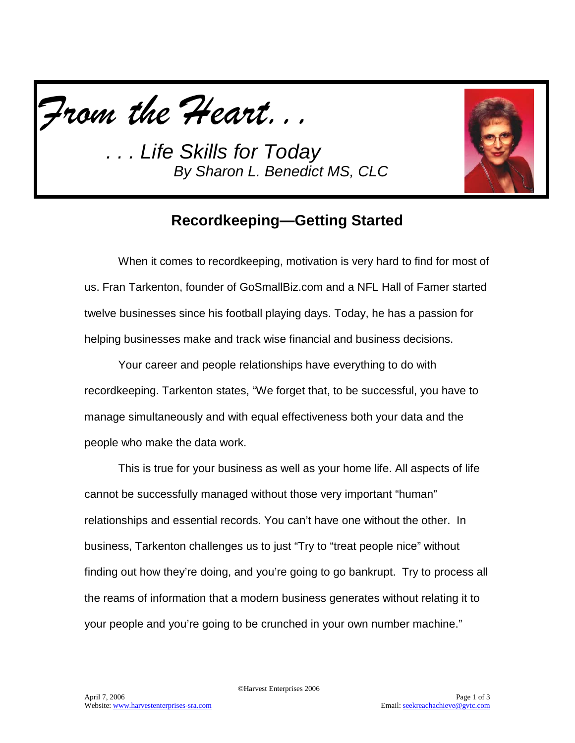*From the Heart...*

*. . . Life Skills for Today By Sharon L. Benedict MS, CLC*



## **Recordkeeping—Getting Started**

When it comes to recordkeeping, motivation is very hard to find for most of us. Fran Tarkenton, founder of GoSmallBiz.com and a NFL Hall of Famer started twelve businesses since his football playing days. Today, he has a passion for helping businesses make and track wise financial and business decisions.

Your career and people relationships have everything to do with recordkeeping. Tarkenton states, "We forget that, to be successful, you have to manage simultaneously and with equal effectiveness both your data and the people who make the data work.

This is true for your business as well as your home life. All aspects of life cannot be successfully managed without those very important "human" relationships and essential records. You can't have one without the other. In business, Tarkenton challenges us to just "Try to "treat people nice" without finding out how they're doing, and you're going to go bankrupt. Try to process all the reams of information that a modern business generates without relating it to your people and you're going to be crunched in your own number machine."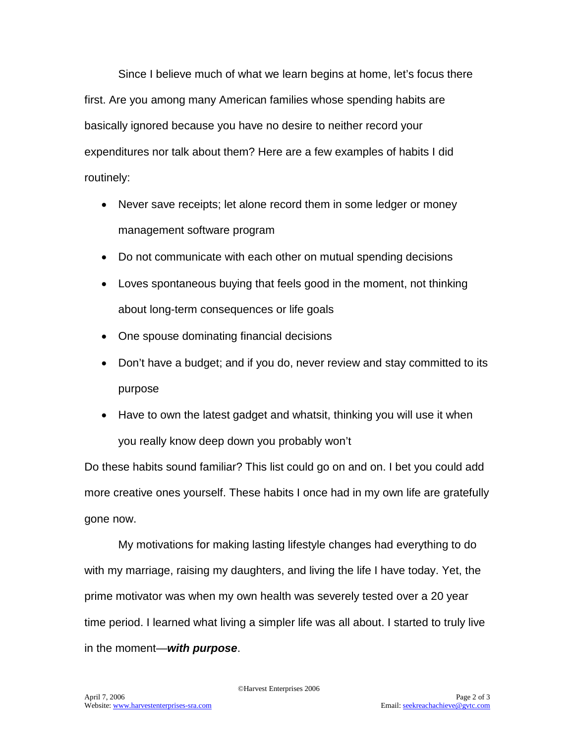Since I believe much of what we learn begins at home, let's focus there first. Are you among many American families whose spending habits are basically ignored because you have no desire to neither record your expenditures nor talk about them? Here are a few examples of habits I did routinely:

- Never save receipts; let alone record them in some ledger or money management software program
- Do not communicate with each other on mutual spending decisions
- Loves spontaneous buying that feels good in the moment, not thinking about long-term consequences or life goals
- One spouse dominating financial decisions
- Don't have a budget; and if you do, never review and stay committed to its purpose
- Have to own the latest gadget and whatsit, thinking you will use it when you really know deep down you probably won't

Do these habits sound familiar? This list could go on and on. I bet you could add more creative ones yourself. These habits I once had in my own life are gratefully gone now.

My motivations for making lasting lifestyle changes had everything to do with my marriage, raising my daughters, and living the life I have today. Yet, the prime motivator was when my own health was severely tested over a 20 year time period. I learned what living a simpler life was all about. I started to truly live in the moment—*with purpose*.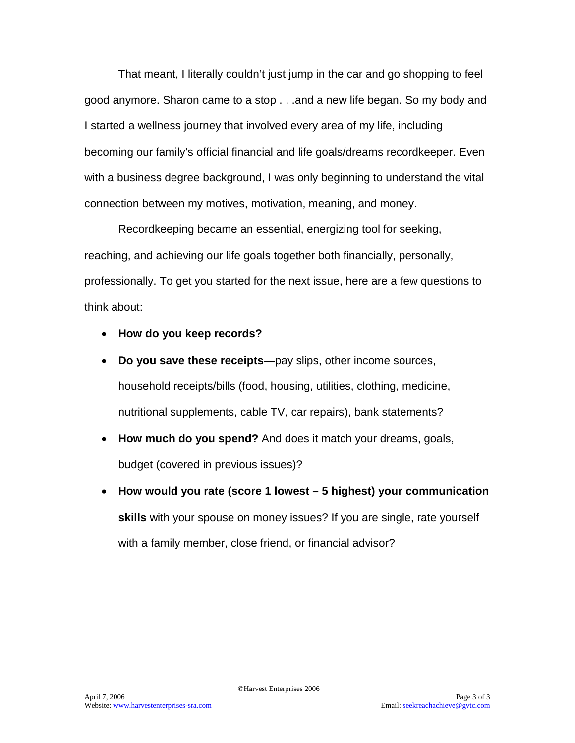That meant, I literally couldn't just jump in the car and go shopping to feel good anymore. Sharon came to a stop . . .and a new life began. So my body and I started a wellness journey that involved every area of my life, including becoming our family's official financial and life goals/dreams recordkeeper. Even with a business degree background, I was only beginning to understand the vital connection between my motives, motivation, meaning, and money.

Recordkeeping became an essential, energizing tool for seeking, reaching, and achieving our life goals together both financially, personally, professionally. To get you started for the next issue, here are a few questions to think about:

- **How do you keep records?**
- **Do you save these receipts**—pay slips, other income sources, household receipts/bills (food, housing, utilities, clothing, medicine, nutritional supplements, cable TV, car repairs), bank statements?
- **How much do you spend?** And does it match your dreams, goals, budget (covered in previous issues)?
- **How would you rate (score 1 lowest – 5 highest) your communication skills** with your spouse on money issues? If you are single, rate yourself with a family member, close friend, or financial advisor?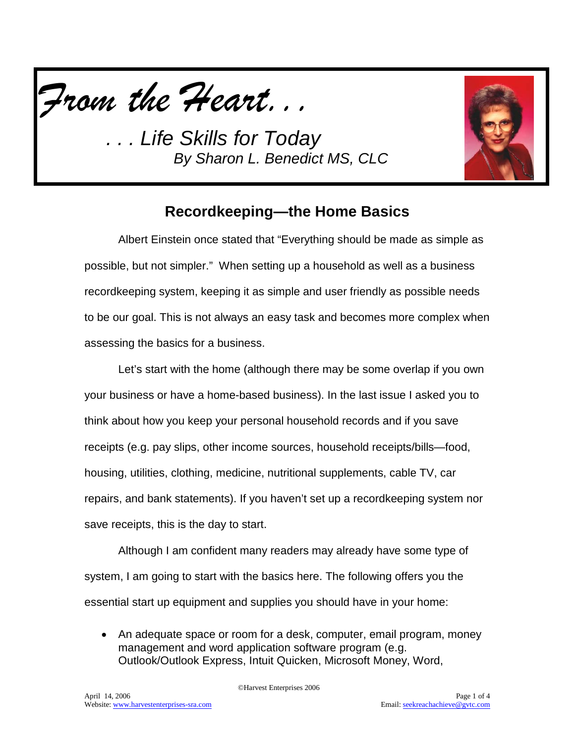*From the Heart...*

*. . . Life Skills for Today By Sharon L. Benedict MS, CLC*



## **Recordkeeping—the Home Basics**

Albert Einstein once stated that "Everything should be made as simple as possible, but not simpler." When setting up a household as well as a business recordkeeping system, keeping it as simple and user friendly as possible needs to be our goal. This is not always an easy task and becomes more complex when assessing the basics for a business.

Let's start with the home (although there may be some overlap if you own your business or have a home-based business). In the last issue I asked you to think about how you keep your personal household records and if you save receipts (e.g. pay slips, other income sources, household receipts/bills—food, housing, utilities, clothing, medicine, nutritional supplements, cable TV, car repairs, and bank statements). If you haven't set up a recordkeeping system nor save receipts, this is the day to start.

Although I am confident many readers may already have some type of system, I am going to start with the basics here. The following offers you the essential start up equipment and supplies you should have in your home:

• An adequate space or room for a desk, computer, email program, money management and word application software program (e.g. Outlook/Outlook Express, Intuit Quicken, Microsoft Money, Word,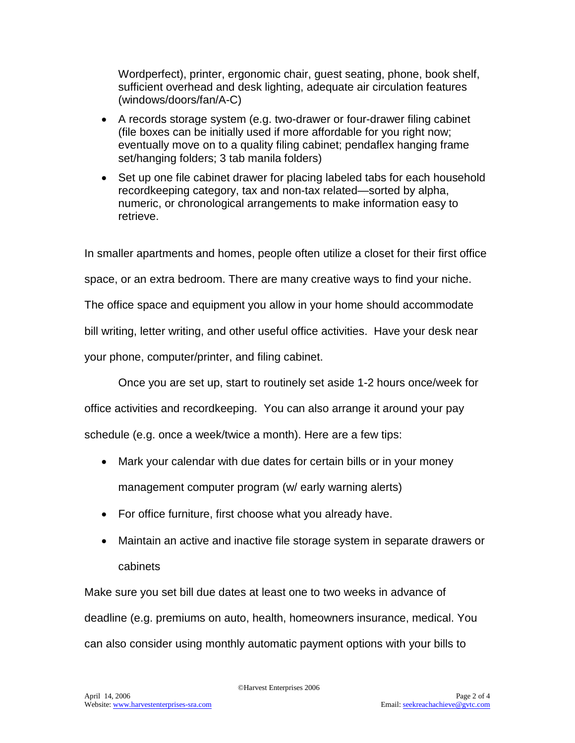Wordperfect), printer, ergonomic chair, guest seating, phone, book shelf, sufficient overhead and desk lighting, adequate air circulation features (windows/doors/fan/A-C)

- A records storage system (e.g. two-drawer or four-drawer filing cabinet (file boxes can be initially used if more affordable for you right now; eventually move on to a quality filing cabinet; pendaflex hanging frame set/hanging folders; 3 tab manila folders)
- Set up one file cabinet drawer for placing labeled tabs for each household recordkeeping category, tax and non-tax related—sorted by alpha, numeric, or chronological arrangements to make information easy to retrieve.

In smaller apartments and homes, people often utilize a closet for their first office space, or an extra bedroom. There are many creative ways to find your niche. The office space and equipment you allow in your home should accommodate bill writing, letter writing, and other useful office activities. Have your desk near your phone, computer/printer, and filing cabinet.

Once you are set up, start to routinely set aside 1-2 hours once/week for

office activities and recordkeeping. You can also arrange it around your pay

schedule (e.g. once a week/twice a month). Here are a few tips:

- Mark your calendar with due dates for certain bills or in your money management computer program (w/ early warning alerts)
- For office furniture, first choose what you already have.
- Maintain an active and inactive file storage system in separate drawers or cabinets

Make sure you set bill due dates at least one to two weeks in advance of deadline (e.g. premiums on auto, health, homeowners insurance, medical. You can also consider using monthly automatic payment options with your bills to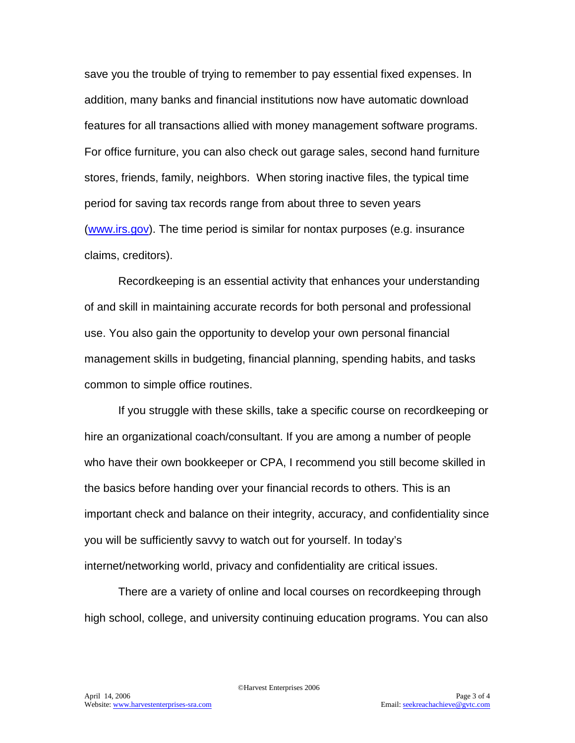save you the trouble of trying to remember to pay essential fixed expenses. In addition, many banks and financial institutions now have automatic download features for all transactions allied with money management software programs. For office furniture, you can also check out garage sales, second hand furniture stores, friends, family, neighbors. When storing inactive files, the typical time period for saving tax records range from about three to seven years [\(www.irs.gov\)](http://www.irs.gov/). The time period is similar for nontax purposes (e.g. insurance claims, creditors).

Recordkeeping is an essential activity that enhances your understanding of and skill in maintaining accurate records for both personal and professional use. You also gain the opportunity to develop your own personal financial management skills in budgeting, financial planning, spending habits, and tasks common to simple office routines.

If you struggle with these skills, take a specific course on recordkeeping or hire an organizational coach/consultant. If you are among a number of people who have their own bookkeeper or CPA, I recommend you still become skilled in the basics before handing over your financial records to others. This is an important check and balance on their integrity, accuracy, and confidentiality since you will be sufficiently savvy to watch out for yourself. In today's internet/networking world, privacy and confidentiality are critical issues.

There are a variety of online and local courses on recordkeeping through high school, college, and university continuing education programs. You can also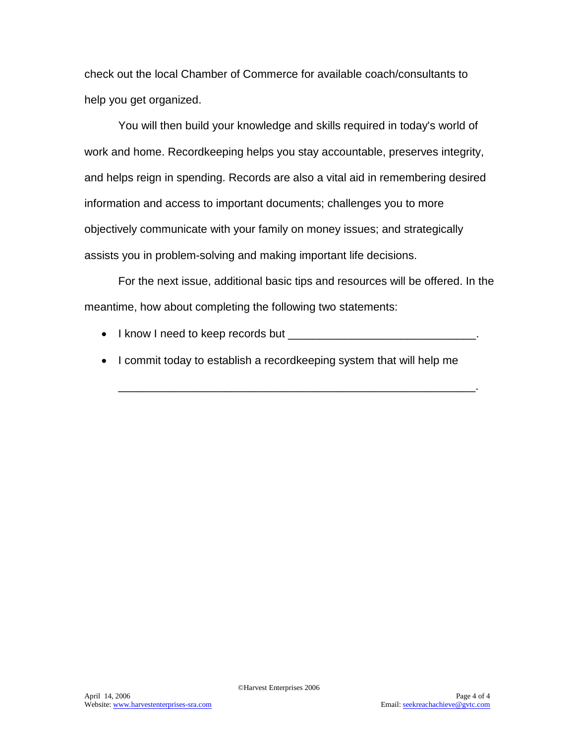check out the local Chamber of Commerce for available coach/consultants to help you get organized.

You will then build your knowledge and skills required in today's world of work and home. Recordkeeping helps you stay accountable, preserves integrity, and helps reign in spending. Records are also a vital aid in remembering desired information and access to important documents; challenges you to more objectively communicate with your family on money issues; and strategically assists you in problem-solving and making important life decisions.

For the next issue, additional basic tips and resources will be offered. In the meantime, how about completing the following two statements:

- I know I need to keep records but  $\frac{1}{2}$   $\frac{1}{2}$   $\frac{1}{2}$   $\frac{1}{2}$   $\frac{1}{2}$   $\frac{1}{2}$   $\frac{1}{2}$   $\frac{1}{2}$   $\frac{1}{2}$   $\frac{1}{2}$   $\frac{1}{2}$   $\frac{1}{2}$   $\frac{1}{2}$   $\frac{1}{2}$   $\frac{1}{2}$   $\frac{1}{2}$   $\frac{1}{2}$   $\frac{1}{2}$   $\frac{1$
- I commit today to establish a recordkeeping system that will help me

\_\_\_\_\_\_\_\_\_\_\_\_\_\_\_\_\_\_\_\_\_\_\_\_\_\_\_\_\_\_\_\_\_\_\_\_\_\_\_\_\_\_\_\_\_\_\_\_\_\_\_\_\_\_\_\_\_.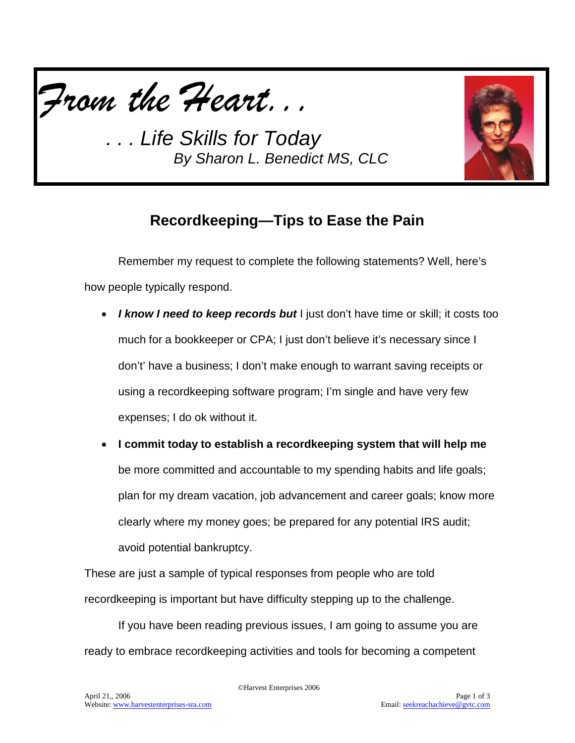

*. . . Life Skills for Today By Sharon L. Benedict MS, CLC*



## **Recordkeeping—Tips to Ease the Pain**

Remember my request to complete the following statements? Well, here's how people typically respond.

- *I know I need to keep records but* I just don't have time or skill; it costs too much for a bookkeeper or CPA; I just don't believe it's necessary since I don't' have a business; I don't make enough to warrant saving receipts or using a recordkeeping software program; I'm single and have very few expenses; I do ok without it.
- **I commit today to establish a recordkeeping system that will help me** be more committed and accountable to my spending habits and life goals; plan for my dream vacation, job advancement and career goals; know more clearly where my money goes; be prepared for any potential IRS audit; avoid potential bankruptcy.

These are just a sample of typical responses from people who are told recordkeeping is important but have difficulty stepping up to the challenge.

If you have been reading previous issues, I am going to assume you are ready to embrace recordkeeping activities and tools for becoming a competent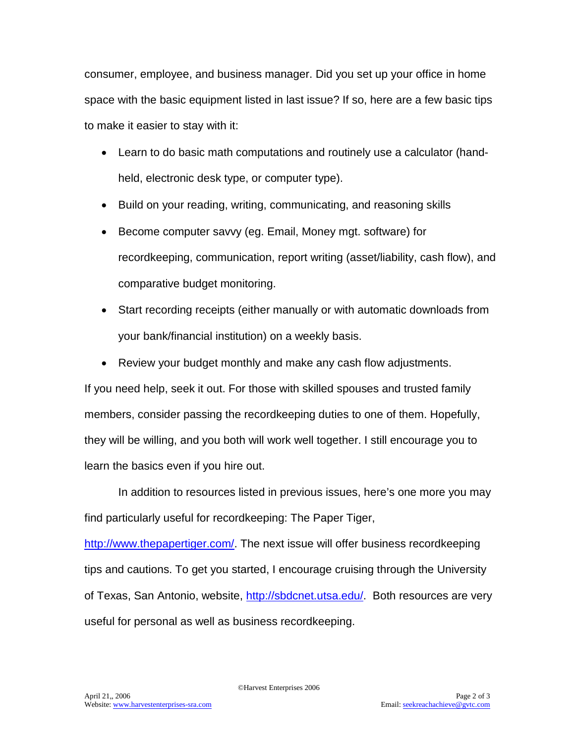consumer, employee, and business manager. Did you set up your office in home space with the basic equipment listed in last issue? If so, here are a few basic tips to make it easier to stay with it:

- Learn to do basic math computations and routinely use a calculator (handheld, electronic desk type, or computer type).
- Build on your reading, writing, communicating, and reasoning skills
- Become computer savvy (eg. Email, Money mgt. software) for recordkeeping, communication, report writing (asset/liability, cash flow), and comparative budget monitoring.
- Start recording receipts (either manually or with automatic downloads from your bank/financial institution) on a weekly basis.
- Review your budget monthly and make any cash flow adjustments.

If you need help, seek it out. For those with skilled spouses and trusted family members, consider passing the recordkeeping duties to one of them. Hopefully, they will be willing, and you both will work well together. I still encourage you to learn the basics even if you hire out.

In addition to resources listed in previous issues, here's one more you may find particularly useful for recordkeeping: The Paper Tiger,

[http://www.thepapertiger.com/.](http://www.thepapertiger.com/) The next issue will offer business recordkeeping tips and cautions. To get you started, I encourage cruising through the University of Texas, San Antonio, website, [http://sbdcnet.utsa.edu/.](http://sbdcnet.utsa.edu/) Both resources are very useful for personal as well as business recordkeeping.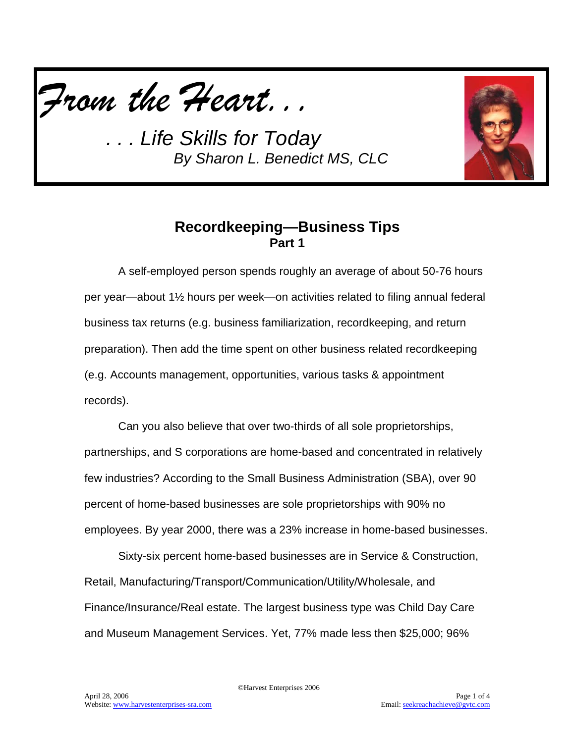

*. . . Life Skills for Today By Sharon L. Benedict MS, CLC*



## **Recordkeeping—Business Tips Part 1**

A self-employed person spends roughly an average of about 50-76 hours per year—about 1½ hours per week—on activities related to filing annual federal business tax returns (e.g. business familiarization, recordkeeping, and return preparation). Then add the time spent on other business related recordkeeping (e.g. Accounts management, opportunities, various tasks & appointment records).

Can you also believe that over two-thirds of all sole proprietorships, partnerships, and S corporations are home-based and concentrated in relatively few industries? According to the Small Business Administration (SBA), over 90 percent of home-based businesses are sole proprietorships with 90% no employees. By year 2000, there was a 23% increase in home-based businesses.

Sixty-six percent home-based businesses are in Service & Construction, Retail, Manufacturing/Transport/Communication/Utility/Wholesale, and Finance/Insurance/Real estate. The largest business type was Child Day Care and Museum Management Services. Yet, 77% made less then \$25,000; 96%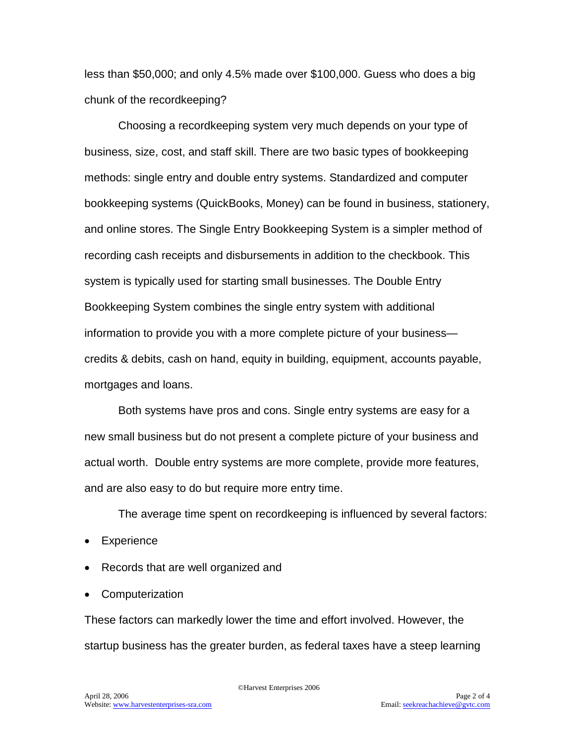less than \$50,000; and only 4.5% made over \$100,000. Guess who does a big chunk of the recordkeeping?

Choosing a recordkeeping system very much depends on your type of business, size, cost, and staff skill. There are two basic types of bookkeeping methods: single entry and double entry systems. Standardized and computer bookkeeping systems (QuickBooks, Money) can be found in business, stationery, and online stores. The Single Entry Bookkeeping System is a simpler method of recording cash receipts and disbursements in addition to the checkbook. This system is typically used for starting small businesses. The Double Entry Bookkeeping System combines the single entry system with additional information to provide you with a more complete picture of your business credits & debits, cash on hand, equity in building, equipment, accounts payable, mortgages and loans.

Both systems have pros and cons. Single entry systems are easy for a new small business but do not present a complete picture of your business and actual worth. Double entry systems are more complete, provide more features, and are also easy to do but require more entry time.

The average time spent on recordkeeping is influenced by several factors:

- Experience
- Records that are well organized and
- Computerization

These factors can markedly lower the time and effort involved. However, the startup business has the greater burden, as federal taxes have a steep learning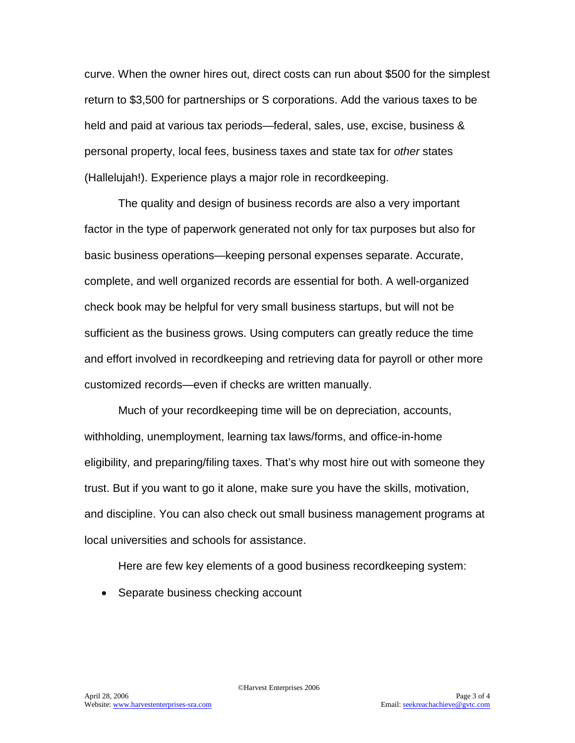curve. When the owner hires out, direct costs can run about \$500 for the simplest return to \$3,500 for partnerships or S corporations. Add the various taxes to be held and paid at various tax periods—federal, sales, use, excise, business & personal property, local fees, business taxes and state tax for *other* states (Hallelujah!). Experience plays a major role in recordkeeping.

The quality and design of business records are also a very important factor in the type of paperwork generated not only for tax purposes but also for basic business operations—keeping personal expenses separate. Accurate, complete, and well organized records are essential for both. A well-organized check book may be helpful for very small business startups, but will not be sufficient as the business grows. Using computers can greatly reduce the time and effort involved in recordkeeping and retrieving data for payroll or other more customized records—even if checks are written manually.

Much of your recordkeeping time will be on depreciation, accounts, withholding, unemployment, learning tax laws/forms, and office-in-home eligibility, and preparing/filing taxes. That's why most hire out with someone they trust. But if you want to go it alone, make sure you have the skills, motivation, and discipline. You can also check out small business management programs at local universities and schools for assistance.

Here are few key elements of a good business recordkeeping system:

• Separate business checking account